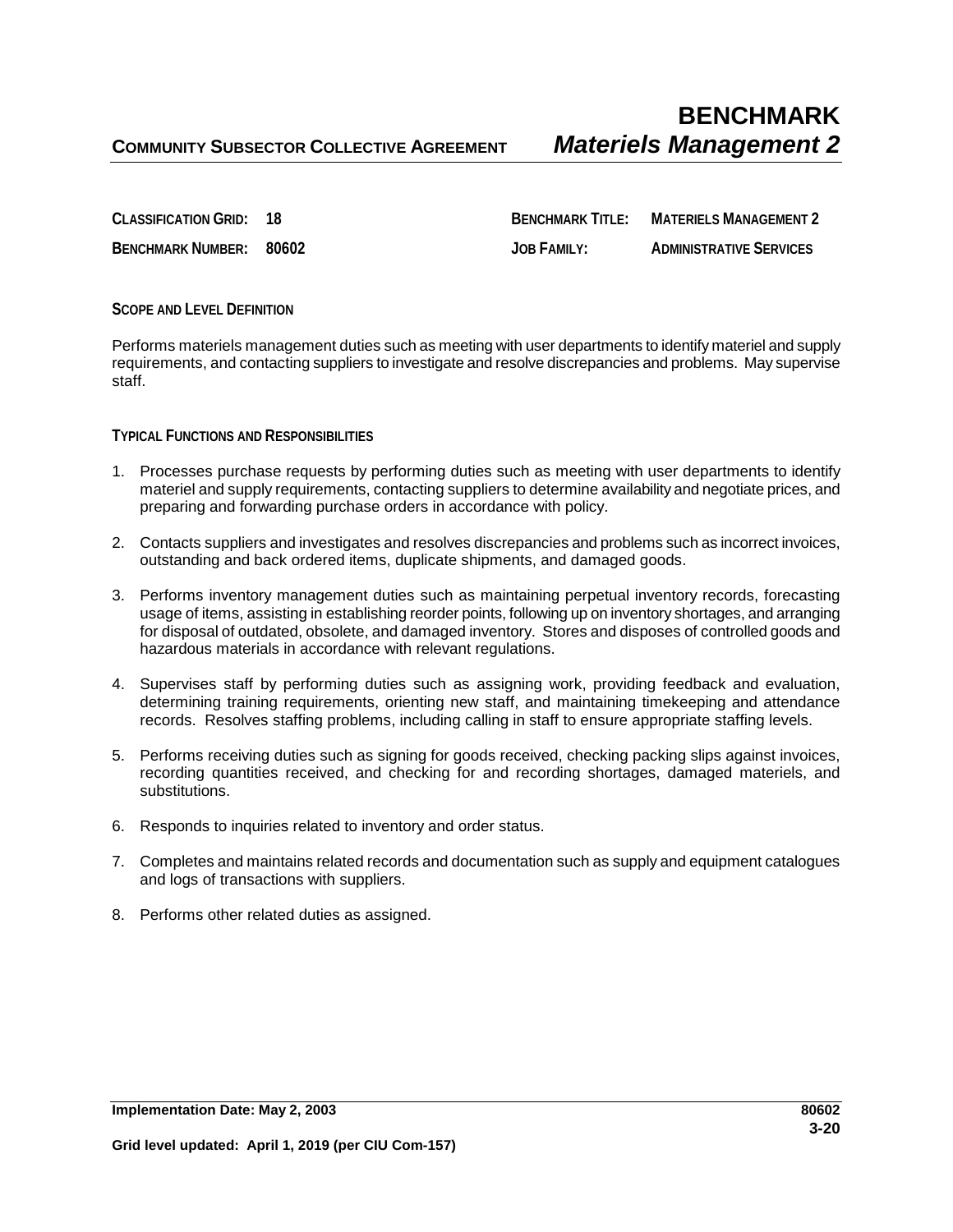**CLASSIFICATION GRID: 18 BENCHMARK TITLE: MATERIELS MANAGEMENT 2 BENCHMARK NUMBER: 80602 JOB FAMILY: ADMINISTRATIVE SERVICES**

## **SCOPE AND LEVEL DEFINITION**

Performs materiels management duties such as meeting with user departments to identify materiel and supply requirements, and contacting suppliers to investigate and resolve discrepancies and problems. May supervise staff.

## **TYPICAL FUNCTIONS AND RESPONSIBILITIES**

- 1. Processes purchase requests by performing duties such as meeting with user departments to identify materiel and supply requirements, contacting suppliers to determine availability and negotiate prices, and preparing and forwarding purchase orders in accordance with policy.
- 2. Contacts suppliers and investigates and resolves discrepancies and problems such as incorrect invoices, outstanding and back ordered items, duplicate shipments, and damaged goods.
- 3. Performs inventory management duties such as maintaining perpetual inventory records, forecasting usage of items, assisting in establishing reorder points, following up on inventory shortages, and arranging for disposal of outdated, obsolete, and damaged inventory. Stores and disposes of controlled goods and hazardous materials in accordance with relevant regulations.
- 4. Supervises staff by performing duties such as assigning work, providing feedback and evaluation, determining training requirements, orienting new staff, and maintaining timekeeping and attendance records. Resolves staffing problems, including calling in staff to ensure appropriate staffing levels.
- 5. Performs receiving duties such as signing for goods received, checking packing slips against invoices, recording quantities received, and checking for and recording shortages, damaged materiels, and substitutions.
- 6. Responds to inquiries related to inventory and order status.
- 7. Completes and maintains related records and documentation such as supply and equipment catalogues and logs of transactions with suppliers.
- 8. Performs other related duties as assigned.